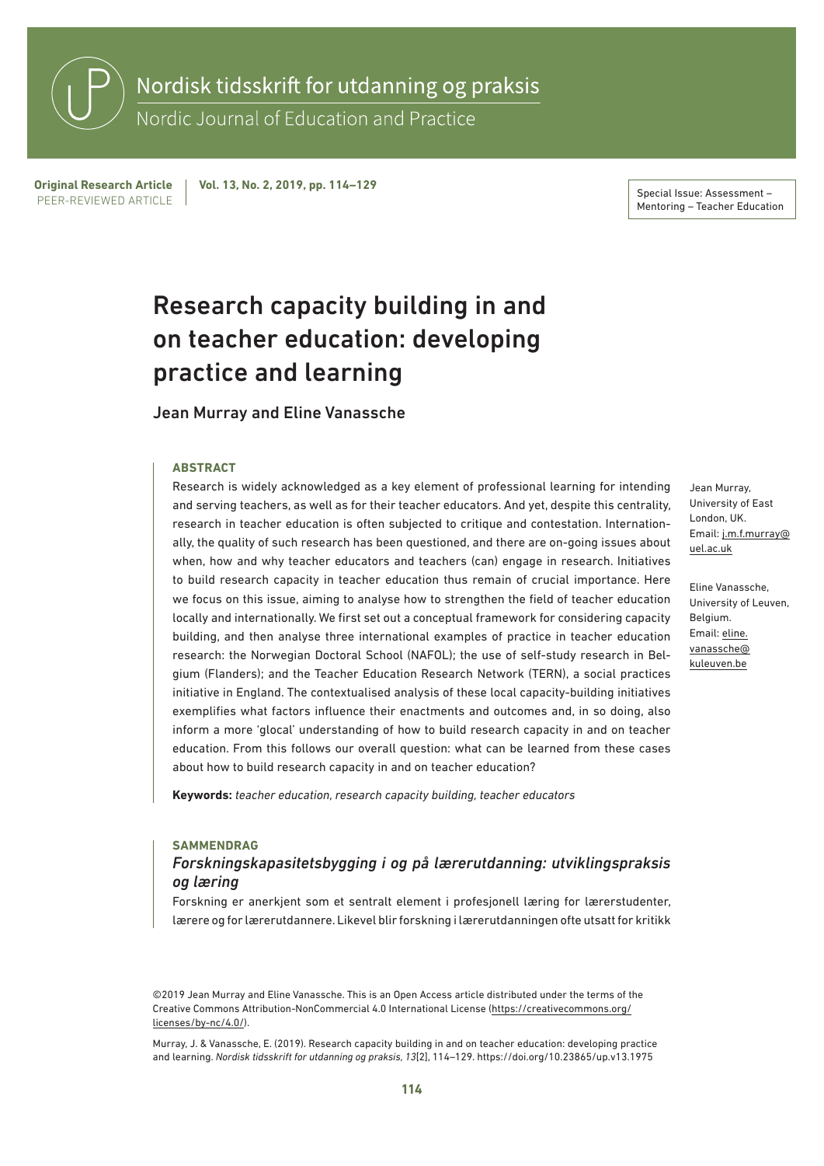Nordisk tidsskrift for utdanning og praksis

Nordic Journal of Education and Practice

PEER-REVIEWED ARTICLE Original Research Article Vol. 13, No. 2, 2019, pp. 114–129<br>REFRISHMEN ARTICLE

Mentoring – Teacher Education

# Research capacity building in and on teacher education: developing practice and learning

#### Jean Murray and Eline Vanassche

#### **ABSTRACT**

Research is widely acknowledged as a key element of professional learning for intending and serving teachers, as well as for their teacher educators. And yet, despite this centrality, research in teacher education is often subjected to critique and contestation. Internationally, the quality of such research has been questioned, and there are on-going issues about when, how and why teacher educators and teachers (can) engage in research. Initiatives to build research capacity in teacher education thus remain of crucial importance. Here we focus on this issue, aiming to analyse how to strengthen the field of teacher education locally and internationally. We first set out a conceptual framework for considering capacity building, and then analyse three international examples of practice in teacher education research: the Norwegian Doctoral School (NAFOL); the use of self-study research in Belgium (Flanders); and the Teacher Education Research Network (TERN), a social practices initiative in England. The contextualised analysis of these local capacity-building initiatives exemplifies what factors influence their enactments and outcomes and, in so doing, also inform a more 'glocal' understanding of how to build research capacity in and on teacher education. From this follows our overall question: what can be learned from these cases about how to build research capacity in and on teacher education?

**Keywords:** *teacher education, research capacity building, teacher educators*

#### **SAMMENDRAG**

### *Forskningskapasitetsbygging i og på lærerutdanning: utviklingspraksis og læring*

Forskning er anerkjent som et sentralt element i profesjonell læring for lærerstudenter, lærere og for lærerutdannere. Likevel blir forskning i lærerutdanningen ofte utsatt for kritikk

©2019 Jean Murray and Eline Vanassche. This is an Open Access article distributed under the terms of the Creative Commons Attribution-NonCommercial 4.0 International License [\(https://creativecommons.org/](https://creativecommons.org/licenses/by-nc/4.0/) [licenses/by-nc/4.0/](https://creativecommons.org/licenses/by-nc/4.0/)).

Murray, J. & Vanassche, E. (2019). Research capacity building in and on teacher education: developing practice and learning. *Nordisk tidsskrift for utdanning og praksis, 13*[2], 114–129.<https://doi.org/10.23865/up.v13.1975>

Jean Murray, University of East London, UK. Email: [j.m.f.murray@](mailto:j.m.f.murray@uel.ac.uk) [uel.ac.uk](mailto:j.m.f.murray@uel.ac.uk)

Eline Vanassche, University of Leuven, Belgium. Email: [eline.](mailto:eline.vanassche@kuleuven.be) [vanassche@](mailto:eline.vanassche@kuleuven.be) [kuleuven.be](mailto:eline.vanassche@kuleuven.be)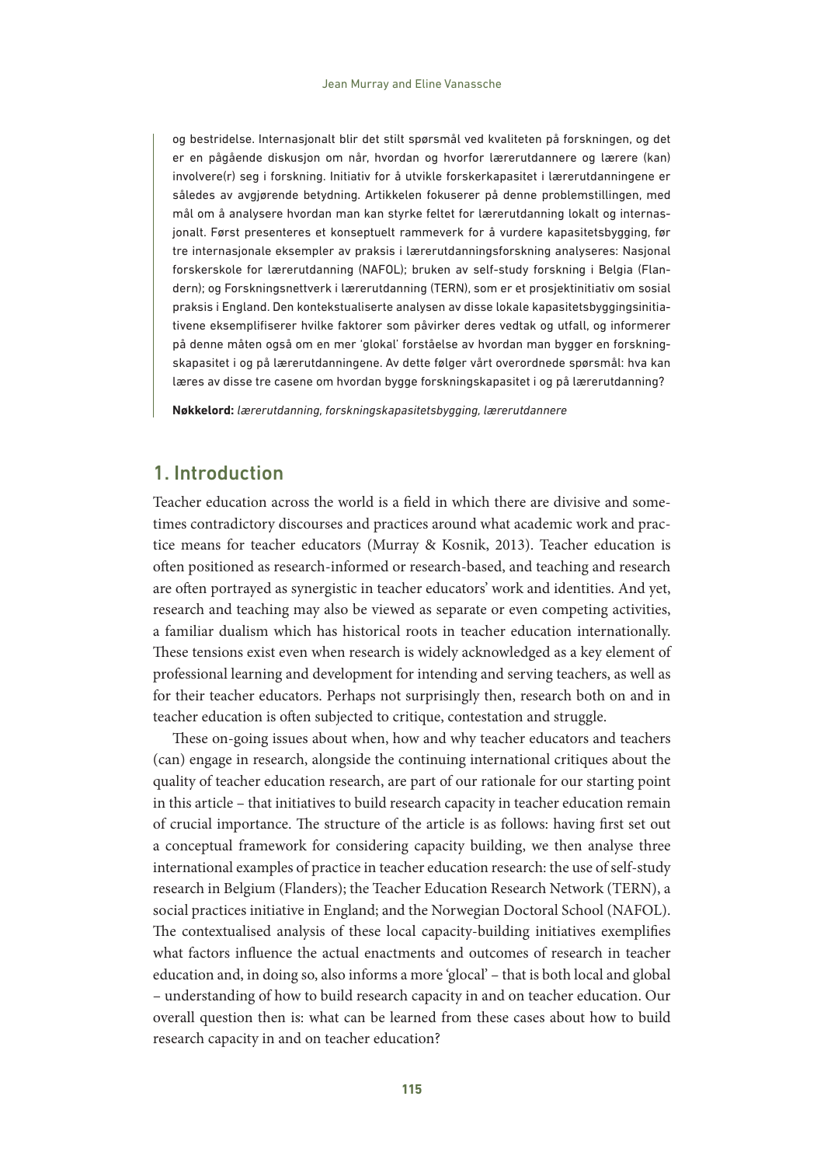og bestridelse. Internasjonalt blir det stilt spørsmål ved kvaliteten på forskningen, og det er en pågående diskusjon om når, hvordan og hvorfor lærerutdannere og lærere (kan) involvere(r) seg i forskning. Initiativ for å utvikle forskerkapasitet i lærerutdanningene er således av avgjørende betydning. Artikkelen fokuserer på denne problemstillingen, med mål om å analysere hvordan man kan styrke feltet for lærerutdanning lokalt og internasjonalt. Først presenteres et konseptuelt rammeverk for å vurdere kapasitetsbygging, før tre internasjonale eksempler av praksis i lærerutdanningsforskning analyseres: Nasjonal forskerskole for lærerutdanning (NAFOL); bruken av self-study forskning i Belgia (Flandern); og Forskningsnettverk i lærerutdanning (TERN), som er et prosjektinitiativ om sosial praksis i England. Den kontekstualiserte analysen av disse lokale kapasitetsbyggingsinitiativene eksemplifiserer hvilke faktorer som påvirker deres vedtak og utfall, og informerer på denne måten også om en mer 'glokal' forståelse av hvordan man bygger en forskningskapasitet i og på lærerutdanningene. Av dette følger vårt overordnede spørsmål: hva kan læres av disse tre casene om hvordan bygge forskningskapasitet i og på lærerutdanning?

**Nøkkelord:** *lærerutdanning, forskningskapasitetsbygging, lærerutdannere*

# 1. Introduction

Teacher education across the world is a field in which there are divisive and sometimes contradictory discourses and practices around what academic work and practice means for teacher educators (Murray & Kosnik, 2013). Teacher education is often positioned as research-informed or research-based, and teaching and research are often portrayed as synergistic in teacher educators' work and identities. And yet, research and teaching may also be viewed as separate or even competing activities, a familiar dualism which has historical roots in teacher education internationally. These tensions exist even when research is widely acknowledged as a key element of professional learning and development for intending and serving teachers, as well as for their teacher educators. Perhaps not surprisingly then, research both on and in teacher education is often subjected to critique, contestation and struggle.

These on-going issues about when, how and why teacher educators and teachers (can) engage in research, alongside the continuing international critiques about the quality of teacher education research, are part of our rationale for our starting point in this article – that initiatives to build research capacity in teacher education remain of crucial importance. The structure of the article is as follows: having first set out a conceptual framework for considering capacity building, we then analyse three international examples of practice in teacher education research: the use of self-study research in Belgium (Flanders); the Teacher Education Research Network (TERN), a social practices initiative in England; and the Norwegian Doctoral School (NAFOL). The contextualised analysis of these local capacity-building initiatives exemplifies what factors influence the actual enactments and outcomes of research in teacher education and, in doing so, also informs a more 'glocal' – that is both local and global – understanding of how to build research capacity in and on teacher education. Our overall question then is: what can be learned from these cases about how to build research capacity in and on teacher education?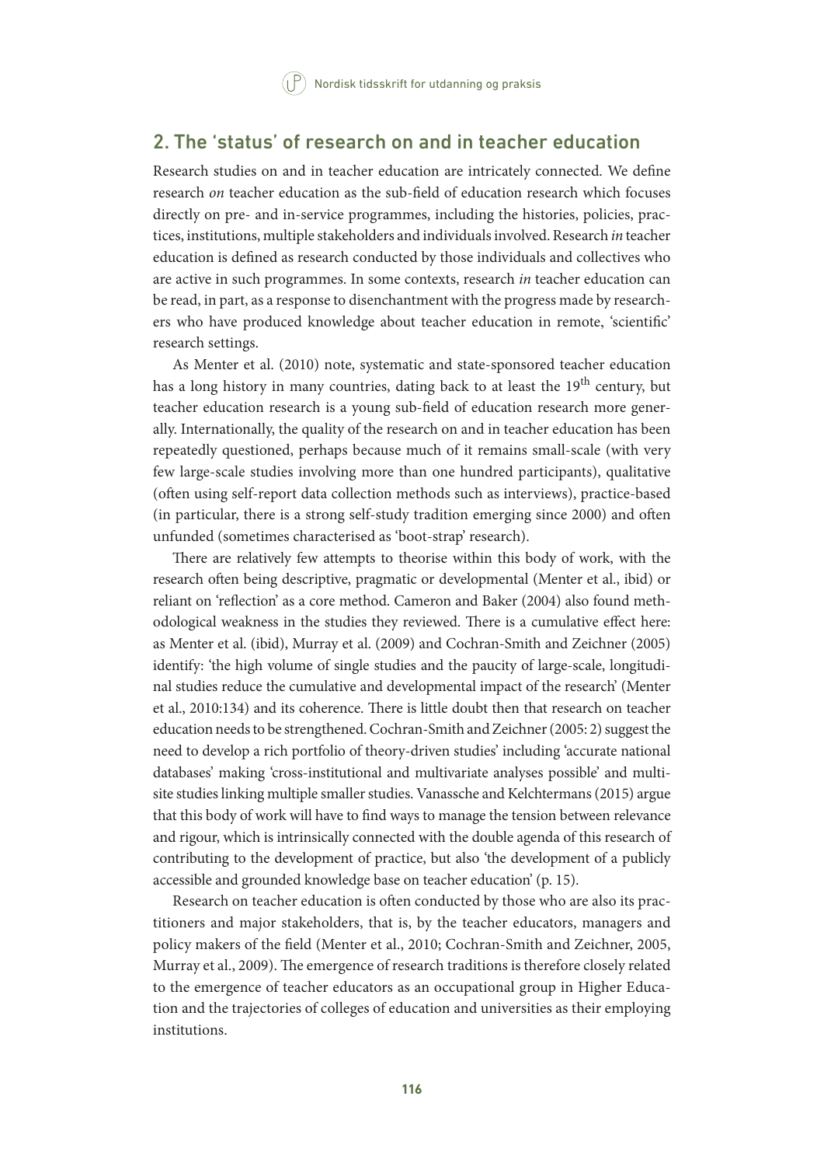## 2. The 'status' of research on and in teacher education

Research studies on and in teacher education are intricately connected. We define research *on* teacher education as the sub-field of education research which focuses directly on pre- and in-service programmes, including the histories, policies, practices, institutions, multiple stakeholders and individuals involved. Research *in* teacher education is defined as research conducted by those individuals and collectives who are active in such programmes. In some contexts, research *in* teacher education can be read, in part, as a response to disenchantment with the progress made by researchers who have produced knowledge about teacher education in remote, 'scientific' research settings.

As Menter et al. (2010) note, systematic and state-sponsored teacher education has a long history in many countries, dating back to at least the  $19<sup>th</sup>$  century, but teacher education research is a young sub-field of education research more generally. Internationally, the quality of the research on and in teacher education has been repeatedly questioned, perhaps because much of it remains small-scale (with very few large-scale studies involving more than one hundred participants), qualitative (often using self-report data collection methods such as interviews), practice-based (in particular, there is a strong self-study tradition emerging since 2000) and often unfunded (sometimes characterised as 'boot-strap' research).

There are relatively few attempts to theorise within this body of work, with the research often being descriptive, pragmatic or developmental (Menter et al., ibid) or reliant on 'reflection' as a core method. Cameron and Baker (2004) also found methodological weakness in the studies they reviewed. There is a cumulative effect here: as Menter et al. (ibid), Murray et al. (2009) and Cochran-Smith and Zeichner (2005) identify: 'the high volume of single studies and the paucity of large-scale, longitudinal studies reduce the cumulative and developmental impact of the research' (Menter et al., 2010:134) and its coherence. There is little doubt then that research on teacher education needs to be strengthened. Cochran-Smith and Zeichner (2005: 2) suggest the need to develop a rich portfolio of theory-driven studies' including 'accurate national databases' making 'cross-institutional and multivariate analyses possible' and multisite studies linking multiple smaller studies. Vanassche and Kelchtermans (2015) argue that this body of work will have to find ways to manage the tension between relevance and rigour, which is intrinsically connected with the double agenda of this research of contributing to the development of practice, but also 'the development of a publicly accessible and grounded knowledge base on teacher education' (p. 15).

Research on teacher education is often conducted by those who are also its practitioners and major stakeholders, that is, by the teacher educators, managers and policy makers of the field (Menter et al., 2010; Cochran-Smith and Zeichner, 2005, Murray et al., 2009). The emergence of research traditions is therefore closely related to the emergence of teacher educators as an occupational group in Higher Education and the trajectories of colleges of education and universities as their employing institutions.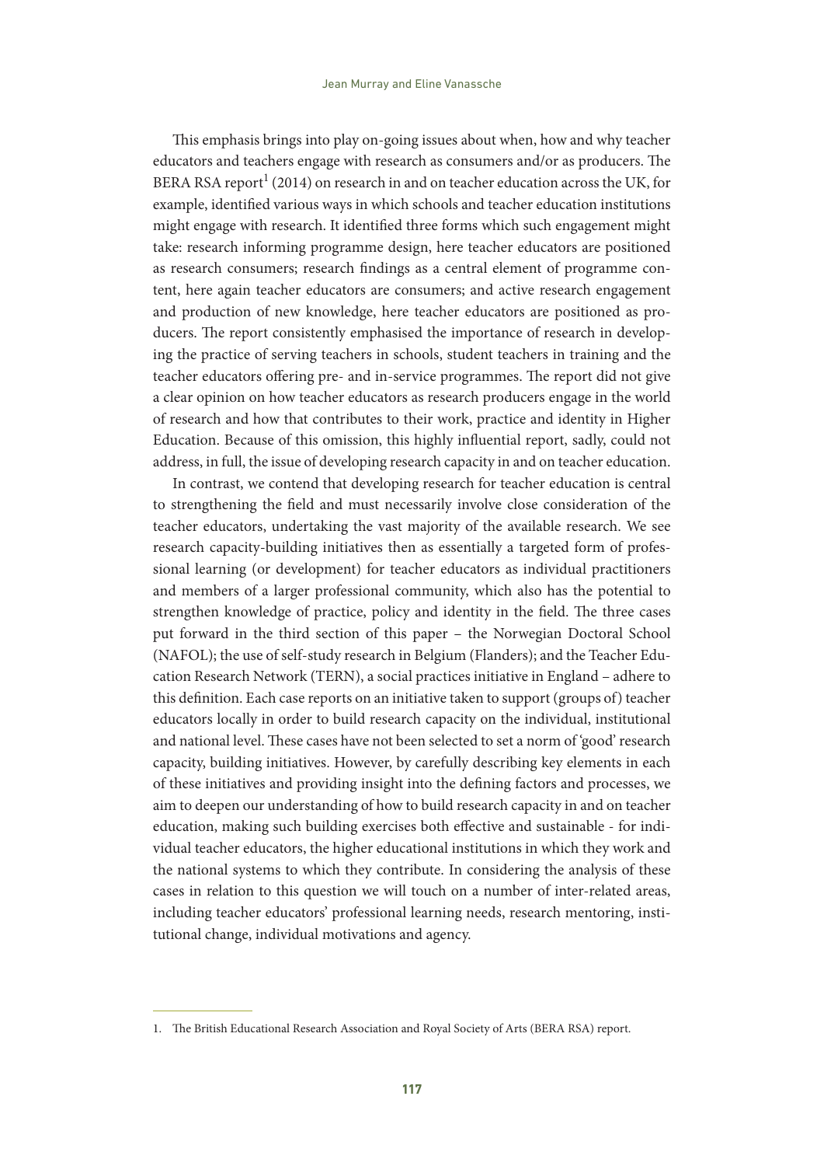This emphasis brings into play on-going issues about when, how and why teacher educators and teachers engage with research as consumers and/or as producers. The BERA RSA report<sup>1</sup> (2014) on research in and on teacher education across the UK, for example, identified various ways in which schools and teacher education institutions might engage with research. It identified three forms which such engagement might take: research informing programme design, here teacher educators are positioned as research consumers; research findings as a central element of programme content, here again teacher educators are consumers; and active research engagement and production of new knowledge, here teacher educators are positioned as producers. The report consistently emphasised the importance of research in developing the practice of serving teachers in schools, student teachers in training and the teacher educators offering pre- and in-service programmes. The report did not give a clear opinion on how teacher educators as research producers engage in the world of research and how that contributes to their work, practice and identity in Higher Education. Because of this omission, this highly influential report, sadly, could not address, in full, the issue of developing research capacity in and on teacher education.

In contrast, we contend that developing research for teacher education is central to strengthening the field and must necessarily involve close consideration of the teacher educators, undertaking the vast majority of the available research. We see research capacity-building initiatives then as essentially a targeted form of professional learning (or development) for teacher educators as individual practitioners and members of a larger professional community, which also has the potential to strengthen knowledge of practice, policy and identity in the field. The three cases put forward in the third section of this paper – the Norwegian Doctoral School (NAFOL); the use of self-study research in Belgium (Flanders); and the Teacher Education Research Network (TERN), a social practices initiative in England – adhere to this definition. Each case reports on an initiative taken to support (groups of) teacher educators locally in order to build research capacity on the individual, institutional and national level. These cases have not been selected to set a norm of 'good' research capacity, building initiatives. However, by carefully describing key elements in each of these initiatives and providing insight into the defining factors and processes, we aim to deepen our understanding of how to build research capacity in and on teacher education, making such building exercises both effective and sustainable - for individual teacher educators, the higher educational institutions in which they work and the national systems to which they contribute. In considering the analysis of these cases in relation to this question we will touch on a number of inter-related areas, including teacher educators' professional learning needs, research mentoring, institutional change, individual motivations and agency.

<sup>1.</sup> The British Educational Research Association and Royal Society of Arts (BERA RSA) report.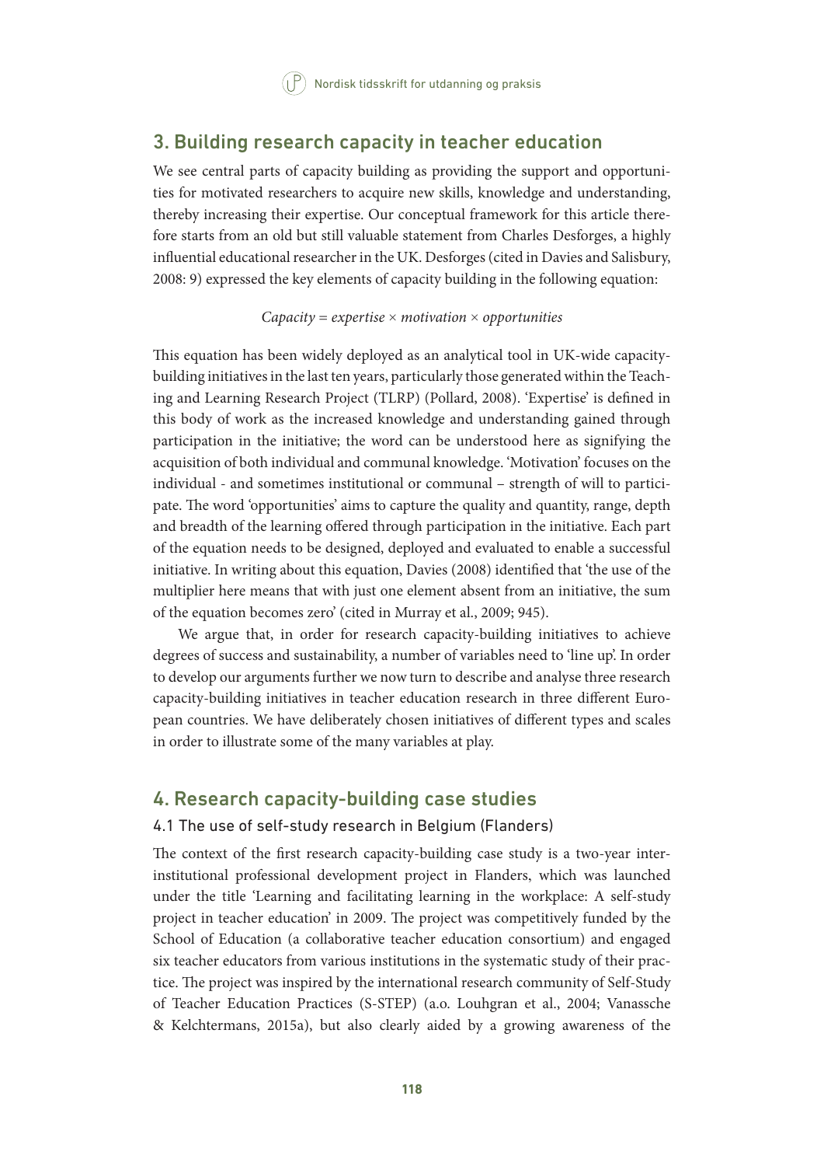## 3. Building research capacity in teacher education

We see central parts of capacity building as providing the support and opportunities for motivated researchers to acquire new skills, knowledge and understanding, thereby increasing their expertise. Our conceptual framework for this article therefore starts from an old but still valuable statement from Charles Desforges, a highly influential educational researcher in the UK. Desforges (cited in Davies and Salisbury, 2008: 9) expressed the key elements of capacity building in the following equation:

#### *Capacity = expertise* × *motivation* × *opportunities*

This equation has been widely deployed as an analytical tool in UK-wide capacitybuilding initiatives in the last ten years, particularly those generated within the Teaching and Learning Research Project (TLRP) (Pollard, 2008). 'Expertise' is defined in this body of work as the increased knowledge and understanding gained through participation in the initiative; the word can be understood here as signifying the acquisition of both individual and communal knowledge. 'Motivation' focuses on the individual - and sometimes institutional or communal – strength of will to participate. The word 'opportunities' aims to capture the quality and quantity, range, depth and breadth of the learning offered through participation in the initiative. Each part of the equation needs to be designed, deployed and evaluated to enable a successful initiative. In writing about this equation, Davies (2008) identified that 'the use of the multiplier here means that with just one element absent from an initiative, the sum of the equation becomes zero' (cited in Murray et al., 2009; 945).

We argue that, in order for research capacity-building initiatives to achieve degrees of success and sustainability, a number of variables need to 'line up'. In order to develop our arguments further we now turn to describe and analyse three research capacity-building initiatives in teacher education research in three different European countries. We have deliberately chosen initiatives of different types and scales in order to illustrate some of the many variables at play.

## 4. Research capacity-building case studies

## 4.1 The use of self-study research in Belgium (Flanders)

The context of the first research capacity-building case study is a two-year interinstitutional professional development project in Flanders, which was launched under the title 'Learning and facilitating learning in the workplace: A self-study project in teacher education' in 2009. The project was competitively funded by the School of Education (a collaborative teacher education consortium) and engaged six teacher educators from various institutions in the systematic study of their practice. The project was inspired by the international research community of Self-Study of Teacher Education Practices (S-STEP) (a.o. Louhgran et al., 2004; Vanassche & Kelchtermans, 2015a), but also clearly aided by a growing awareness of the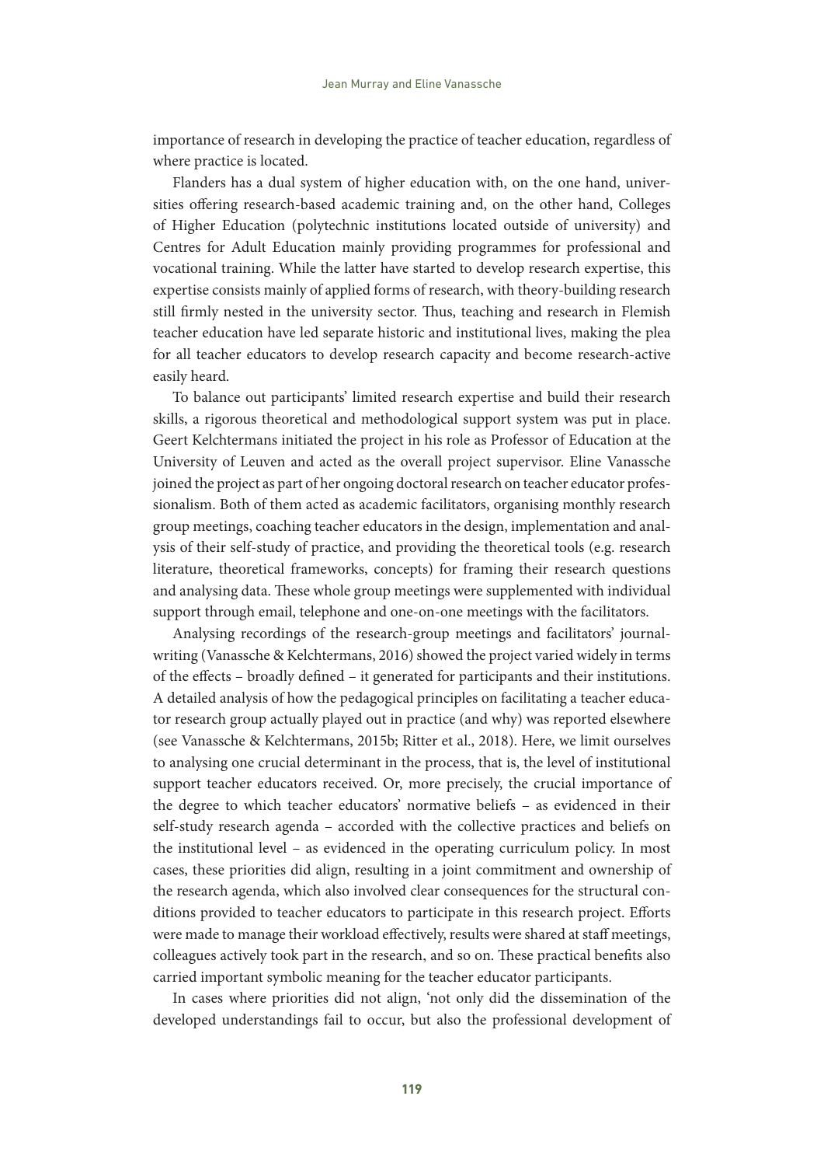importance of research in developing the practice of teacher education, regardless of where practice is located.

Flanders has a dual system of higher education with, on the one hand, universities offering research-based academic training and, on the other hand, Colleges of Higher Education (polytechnic institutions located outside of university) and Centres for Adult Education mainly providing programmes for professional and vocational training. While the latter have started to develop research expertise, this expertise consists mainly of applied forms of research, with theory-building research still firmly nested in the university sector. Thus, teaching and research in Flemish teacher education have led separate historic and institutional lives, making the plea for all teacher educators to develop research capacity and become research-active easily heard.

To balance out participants' limited research expertise and build their research skills, a rigorous theoretical and methodological support system was put in place. Geert Kelchtermans initiated the project in his role as Professor of Education at the University of Leuven and acted as the overall project supervisor. Eline Vanassche joined the project as part of her ongoing doctoral research on teacher educator professionalism. Both of them acted as academic facilitators, organising monthly research group meetings, coaching teacher educators in the design, implementation and analysis of their self-study of practice, and providing the theoretical tools (e.g. research literature, theoretical frameworks, concepts) for framing their research questions and analysing data. These whole group meetings were supplemented with individual support through email, telephone and one-on-one meetings with the facilitators.

Analysing recordings of the research-group meetings and facilitators' journalwriting (Vanassche & Kelchtermans, 2016) showed the project varied widely in terms of the effects – broadly defined – it generated for participants and their institutions. A detailed analysis of how the pedagogical principles on facilitating a teacher educator research group actually played out in practice (and why) was reported elsewhere (see Vanassche & Kelchtermans, 2015b; Ritter et al., 2018). Here, we limit ourselves to analysing one crucial determinant in the process, that is, the level of institutional support teacher educators received. Or, more precisely, the crucial importance of the degree to which teacher educators' normative beliefs – as evidenced in their self-study research agenda – accorded with the collective practices and beliefs on the institutional level – as evidenced in the operating curriculum policy. In most cases, these priorities did align, resulting in a joint commitment and ownership of the research agenda, which also involved clear consequences for the structural conditions provided to teacher educators to participate in this research project. Efforts were made to manage their workload effectively, results were shared at staff meetings, colleagues actively took part in the research, and so on. These practical benefits also carried important symbolic meaning for the teacher educator participants.

In cases where priorities did not align, 'not only did the dissemination of the developed understandings fail to occur, but also the professional development of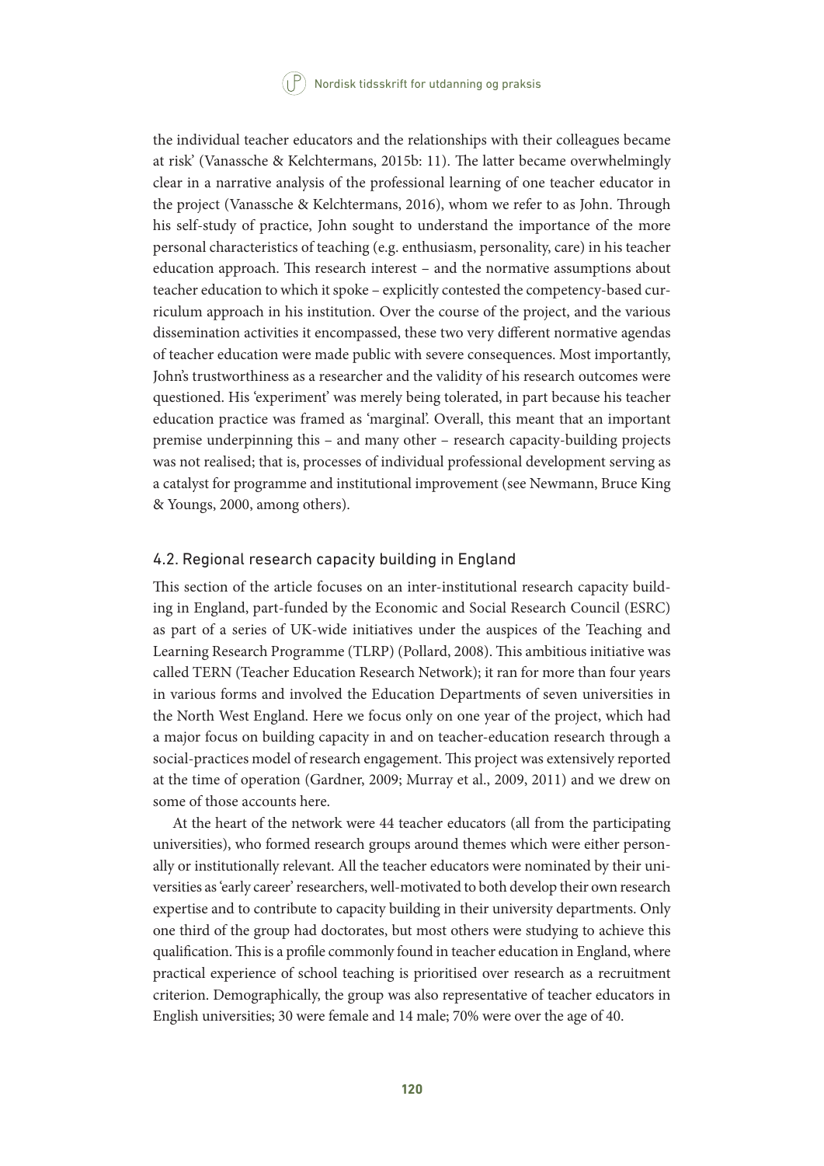the individual teacher educators and the relationships with their colleagues became at risk' (Vanassche & Kelchtermans, 2015b: 11). The latter became overwhelmingly clear in a narrative analysis of the professional learning of one teacher educator in the project (Vanassche & Kelchtermans, 2016), whom we refer to as John. Through his self-study of practice, John sought to understand the importance of the more personal characteristics of teaching (e.g. enthusiasm, personality, care) in his teacher education approach. This research interest – and the normative assumptions about teacher education to which it spoke – explicitly contested the competency-based curriculum approach in his institution. Over the course of the project, and the various dissemination activities it encompassed, these two very different normative agendas of teacher education were made public with severe consequences. Most importantly, John's trustworthiness as a researcher and the validity of his research outcomes were questioned. His 'experiment' was merely being tolerated, in part because his teacher education practice was framed as 'marginal'. Overall, this meant that an important premise underpinning this – and many other – research capacity-building projects was not realised; that is, processes of individual professional development serving as a catalyst for programme and institutional improvement (see Newmann, Bruce King & Youngs, 2000, among others).

#### 4.2. Regional research capacity building in England

This section of the article focuses on an inter-institutional research capacity building in England, part-funded by the Economic and Social Research Council (ESRC) as part of a series of UK-wide initiatives under the auspices of the Teaching and Learning Research Programme (TLRP) (Pollard, 2008). This ambitious initiative was called TERN (Teacher Education Research Network); it ran for more than four years in various forms and involved the Education Departments of seven universities in the North West England. Here we focus only on one year of the project, which had a major focus on building capacity in and on teacher-education research through a social-practices model of research engagement. This project was extensively reported at the time of operation (Gardner, 2009; Murray et al., 2009, 2011) and we drew on some of those accounts here.

At the heart of the network were 44 teacher educators (all from the participating universities), who formed research groups around themes which were either personally or institutionally relevant. All the teacher educators were nominated by their universities as 'early career' researchers, well-motivated to both develop their own research expertise and to contribute to capacity building in their university departments. Only one third of the group had doctorates, but most others were studying to achieve this qualification. This is a profile commonly found in teacher education in England, where practical experience of school teaching is prioritised over research as a recruitment criterion. Demographically, the group was also representative of teacher educators in English universities; 30 were female and 14 male; 70% were over the age of 40.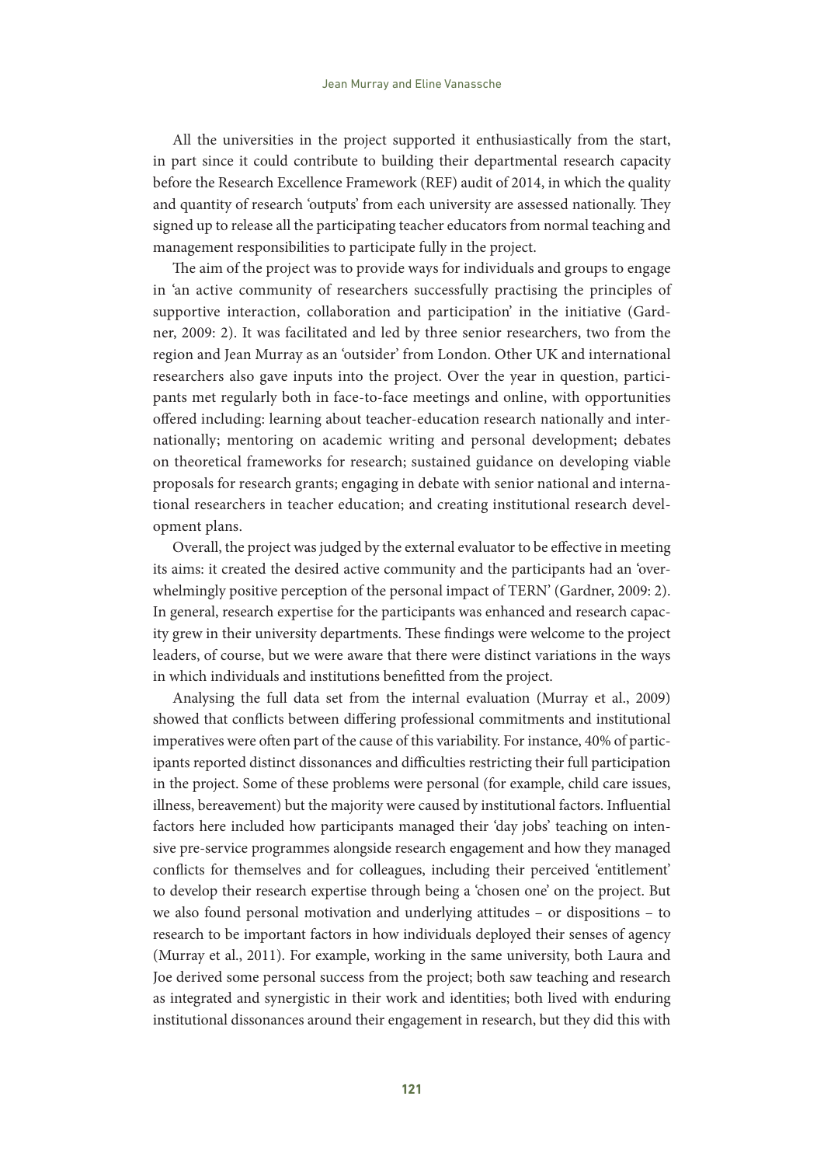All the universities in the project supported it enthusiastically from the start, in part since it could contribute to building their departmental research capacity before the Research Excellence Framework (REF) audit of 2014, in which the quality and quantity of research 'outputs' from each university are assessed nationally. They signed up to release all the participating teacher educators from normal teaching and management responsibilities to participate fully in the project.

The aim of the project was to provide ways for individuals and groups to engage in 'an active community of researchers successfully practising the principles of supportive interaction, collaboration and participation' in the initiative (Gardner, 2009: 2). It was facilitated and led by three senior researchers, two from the region and Jean Murray as an 'outsider' from London. Other UK and international researchers also gave inputs into the project. Over the year in question, participants met regularly both in face-to-face meetings and online, with opportunities offered including: learning about teacher-education research nationally and internationally; mentoring on academic writing and personal development; debates on theoretical frameworks for research; sustained guidance on developing viable proposals for research grants; engaging in debate with senior national and international researchers in teacher education; and creating institutional research development plans.

Overall, the project was judged by the external evaluator to be effective in meeting its aims: it created the desired active community and the participants had an 'overwhelmingly positive perception of the personal impact of TERN' (Gardner, 2009: 2). In general, research expertise for the participants was enhanced and research capacity grew in their university departments. These findings were welcome to the project leaders, of course, but we were aware that there were distinct variations in the ways in which individuals and institutions benefitted from the project.

Analysing the full data set from the internal evaluation (Murray et al., 2009) showed that conflicts between differing professional commitments and institutional imperatives were often part of the cause of this variability. For instance, 40% of participants reported distinct dissonances and difficulties restricting their full participation in the project. Some of these problems were personal (for example, child care issues, illness, bereavement) but the majority were caused by institutional factors. Influential factors here included how participants managed their 'day jobs' teaching on intensive pre-service programmes alongside research engagement and how they managed conflicts for themselves and for colleagues, including their perceived 'entitlement' to develop their research expertise through being a 'chosen one' on the project. But we also found personal motivation and underlying attitudes – or dispositions – to research to be important factors in how individuals deployed their senses of agency (Murray et al., 2011). For example, working in the same university, both Laura and Joe derived some personal success from the project; both saw teaching and research as integrated and synergistic in their work and identities; both lived with enduring institutional dissonances around their engagement in research, but they did this with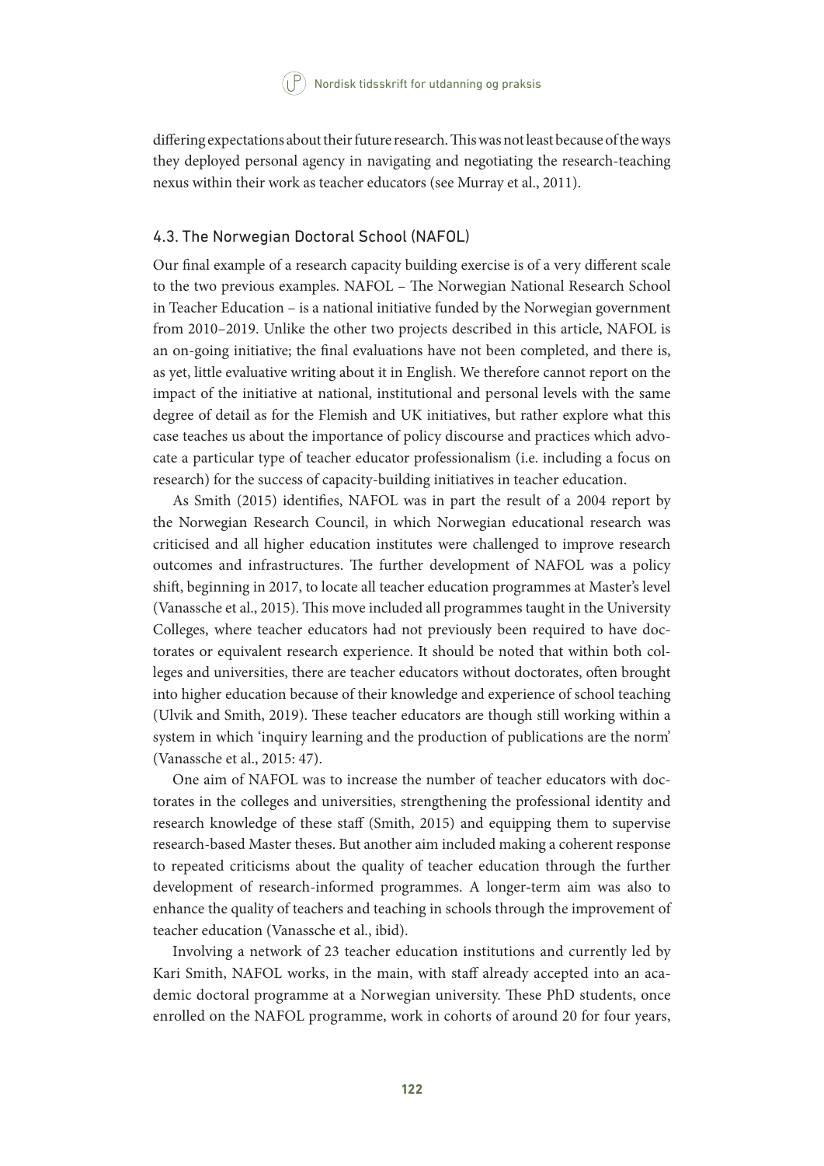differing expectations about their future research. This was not least because of the ways they deployed personal agency in navigating and negotiating the research-teaching nexus within their work as teacher educators (see Murray et al., 2011).

#### 4.3. The Norwegian Doctoral School (NAFOL)

Our final example of a research capacity building exercise is of a very different scale to the two previous examples. NAFOL – The Norwegian National Research School in Teacher Education – is a national initiative funded by the Norwegian government from 2010–2019. Unlike the other two projects described in this article, NAFOL is an on-going initiative; the final evaluations have not been completed, and there is, as yet, little evaluative writing about it in English. We therefore cannot report on the impact of the initiative at national, institutional and personal levels with the same degree of detail as for the Flemish and UK initiatives, but rather explore what this case teaches us about the importance of policy discourse and practices which advocate a particular type of teacher educator professionalism (i.e. including a focus on research) for the success of capacity-building initiatives in teacher education.

As Smith (2015) identifies, NAFOL was in part the result of a 2004 report by the Norwegian Research Council, in which Norwegian educational research was criticised and all higher education institutes were challenged to improve research outcomes and infrastructures. The further development of NAFOL was a policy shift, beginning in 2017, to locate all teacher education programmes at Master's level (Vanassche et al., 2015). This move included all programmes taught in the University Colleges, where teacher educators had not previously been required to have doctorates or equivalent research experience. It should be noted that within both colleges and universities, there are teacher educators without doctorates, often brought into higher education because of their knowledge and experience of school teaching (Ulvik and Smith, 2019). These teacher educators are though still working within a system in which 'inquiry learning and the production of publications are the norm' (Vanassche et al., 2015: 47).

One aim of NAFOL was to increase the number of teacher educators with doctorates in the colleges and universities, strengthening the professional identity and research knowledge of these staff (Smith, 2015) and equipping them to supervise research-based Master theses. But another aim included making a coherent response to repeated criticisms about the quality of teacher education through the further development of research-informed programmes. A longer-term aim was also to enhance the quality of teachers and teaching in schools through the improvement of teacher education (Vanassche et al., ibid).

Involving a network of 23 teacher education institutions and currently led by Kari Smith, NAFOL works, in the main, with staff already accepted into an academic doctoral programme at a Norwegian university. These PhD students, once enrolled on the NAFOL programme, work in cohorts of around 20 for four years,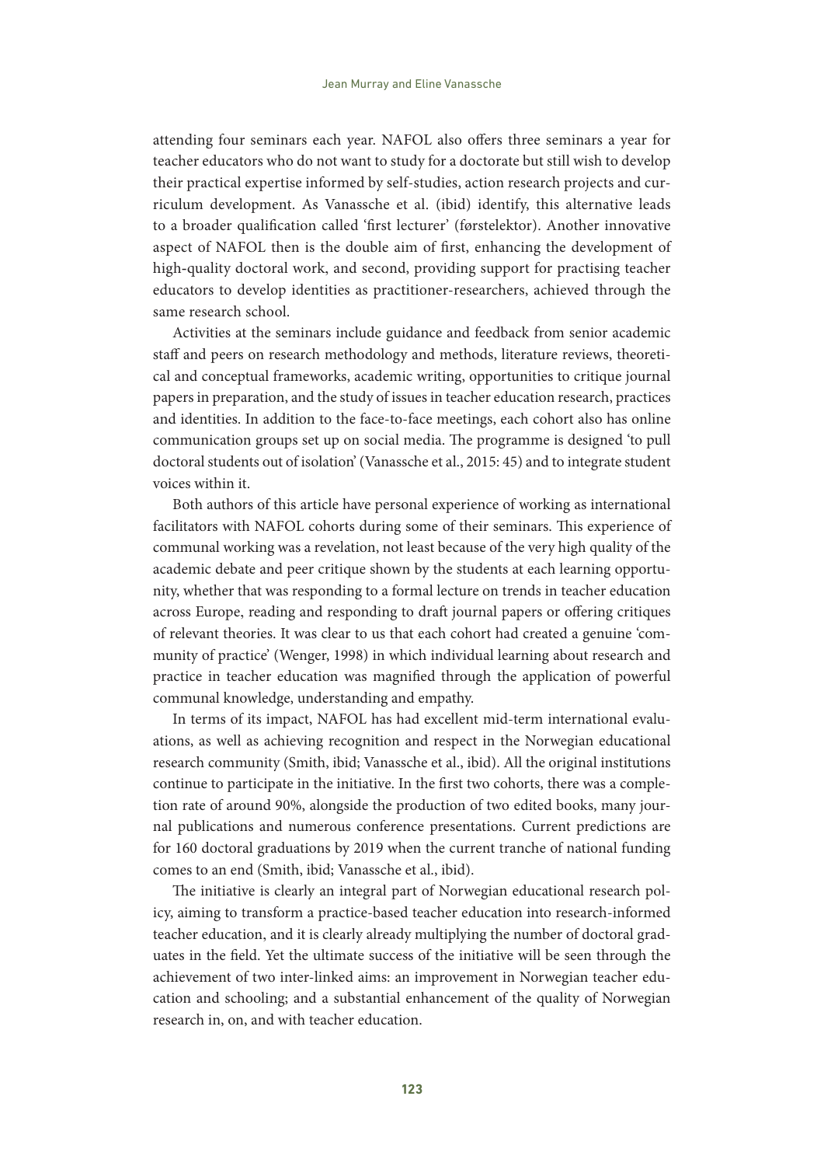attending four seminars each year. NAFOL also offers three seminars a year for teacher educators who do not want to study for a doctorate but still wish to develop their practical expertise informed by self-studies, action research projects and curriculum development. As Vanassche et al. (ibid) identify, this alternative leads to a broader qualification called 'first lecturer' (førstelektor). Another innovative aspect of NAFOL then is the double aim of first, enhancing the development of high-quality doctoral work, and second, providing support for practising teacher educators to develop identities as practitioner-researchers, achieved through the same research school.

Activities at the seminars include guidance and feedback from senior academic staff and peers on research methodology and methods, literature reviews, theoretical and conceptual frameworks, academic writing, opportunities to critique journal papers in preparation, and the study of issues in teacher education research, practices and identities. In addition to the face-to-face meetings, each cohort also has online communication groups set up on social media. The programme is designed 'to pull doctoral students out of isolation' (Vanassche et al., 2015: 45) and to integrate student voices within it.

Both authors of this article have personal experience of working as international facilitators with NAFOL cohorts during some of their seminars. This experience of communal working was a revelation, not least because of the very high quality of the academic debate and peer critique shown by the students at each learning opportunity, whether that was responding to a formal lecture on trends in teacher education across Europe, reading and responding to draft journal papers or offering critiques of relevant theories. It was clear to us that each cohort had created a genuine 'community of practice' (Wenger, 1998) in which individual learning about research and practice in teacher education was magnified through the application of powerful communal knowledge, understanding and empathy.

In terms of its impact, NAFOL has had excellent mid-term international evaluations, as well as achieving recognition and respect in the Norwegian educational research community (Smith, ibid; Vanassche et al., ibid). All the original institutions continue to participate in the initiative. In the first two cohorts, there was a completion rate of around 90%, alongside the production of two edited books, many journal publications and numerous conference presentations. Current predictions are for 160 doctoral graduations by 2019 when the current tranche of national funding comes to an end (Smith, ibid; Vanassche et al., ibid).

The initiative is clearly an integral part of Norwegian educational research policy, aiming to transform a practice-based teacher education into research-informed teacher education, and it is clearly already multiplying the number of doctoral graduates in the field. Yet the ultimate success of the initiative will be seen through the achievement of two inter-linked aims: an improvement in Norwegian teacher education and schooling; and a substantial enhancement of the quality of Norwegian research in, on, and with teacher education.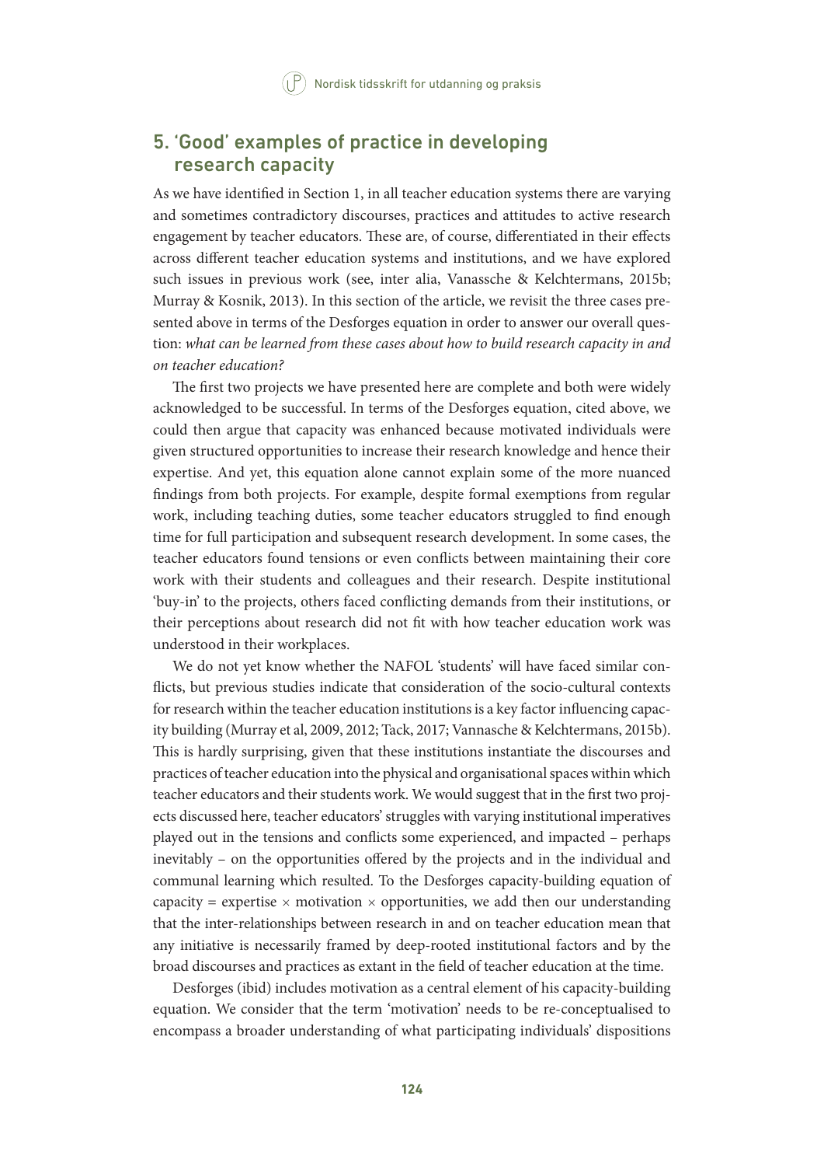# 5. 'Good' examples of practice in developing research capacity

As we have identified in Section 1, in all teacher education systems there are varying and sometimes contradictory discourses, practices and attitudes to active research engagement by teacher educators. These are, of course, differentiated in their effects across different teacher education systems and institutions, and we have explored such issues in previous work (see, inter alia, Vanassche & Kelchtermans, 2015b; Murray & Kosnik, 2013). In this section of the article, we revisit the three cases presented above in terms of the Desforges equation in order to answer our overall question: *what can be learned from these cases about how to build research capacity in and on teacher education?*

The first two projects we have presented here are complete and both were widely acknowledged to be successful. In terms of the Desforges equation, cited above, we could then argue that capacity was enhanced because motivated individuals were given structured opportunities to increase their research knowledge and hence their expertise. And yet, this equation alone cannot explain some of the more nuanced findings from both projects. For example, despite formal exemptions from regular work, including teaching duties, some teacher educators struggled to find enough time for full participation and subsequent research development. In some cases, the teacher educators found tensions or even conflicts between maintaining their core work with their students and colleagues and their research. Despite institutional 'buy-in' to the projects, others faced conflicting demands from their institutions, or their perceptions about research did not fit with how teacher education work was understood in their workplaces.

We do not yet know whether the NAFOL 'students' will have faced similar conflicts, but previous studies indicate that consideration of the socio-cultural contexts for research within the teacher education institutions is a key factor influencing capacity building (Murray et al, 2009, 2012; Tack, 2017; Vannasche & Kelchtermans, 2015b). This is hardly surprising, given that these institutions instantiate the discourses and practices of teacher education into the physical and organisational spaces within which teacher educators and their students work. We would suggest that in the first two projects discussed here, teacher educators' struggles with varying institutional imperatives played out in the tensions and conflicts some experienced, and impacted – perhaps inevitably – on the opportunities offered by the projects and in the individual and communal learning which resulted. To the Desforges capacity-building equation of capacity = expertise  $\times$  motivation  $\times$  opportunities, we add then our understanding that the inter-relationships between research in and on teacher education mean that any initiative is necessarily framed by deep-rooted institutional factors and by the broad discourses and practices as extant in the field of teacher education at the time.

Desforges (ibid) includes motivation as a central element of his capacity-building equation. We consider that the term 'motivation' needs to be re-conceptualised to encompass a broader understanding of what participating individuals' dispositions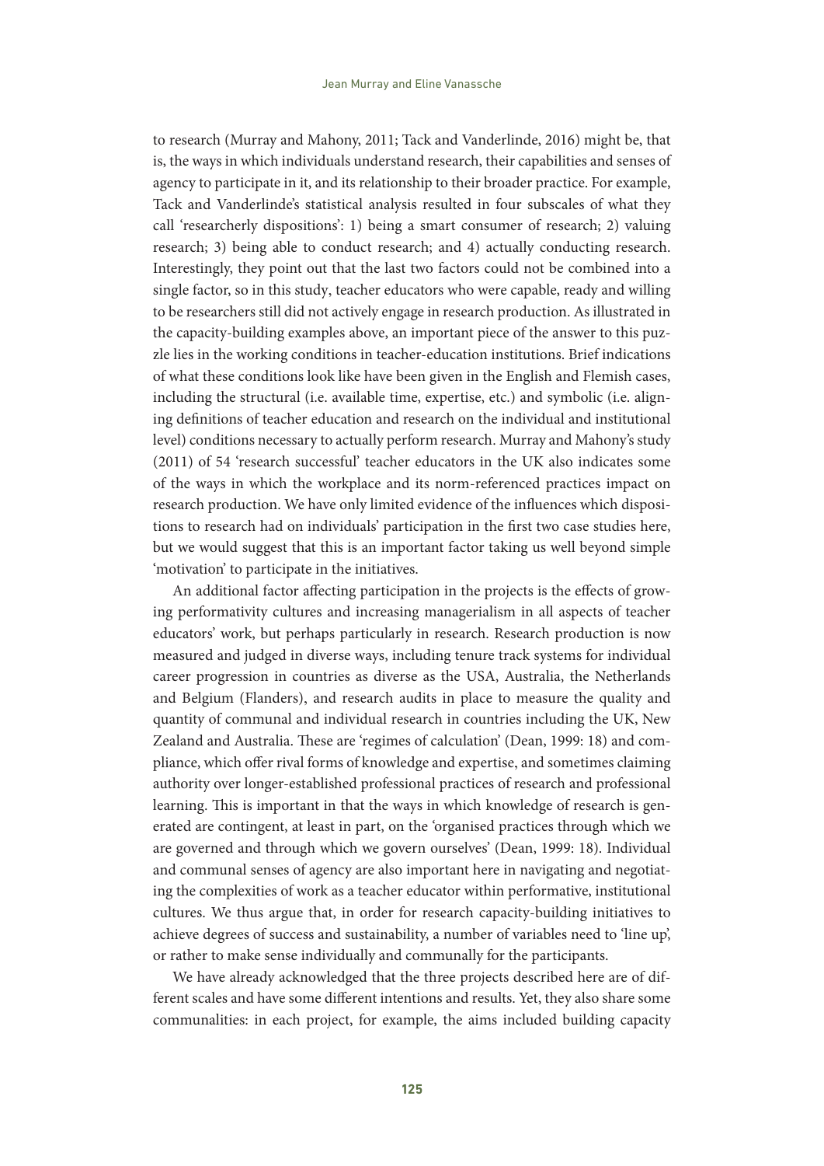to research (Murray and Mahony, 2011; Tack and Vanderlinde, 2016) might be, that is, the ways in which individuals understand research, their capabilities and senses of agency to participate in it, and its relationship to their broader practice. For example, Tack and Vanderlinde's statistical analysis resulted in four subscales of what they call 'researcherly dispositions': 1) being a smart consumer of research; 2) valuing research; 3) being able to conduct research; and 4) actually conducting research. Interestingly, they point out that the last two factors could not be combined into a single factor, so in this study, teacher educators who were capable, ready and willing to be researchers still did not actively engage in research production. As illustrated in the capacity-building examples above, an important piece of the answer to this puzzle lies in the working conditions in teacher-education institutions. Brief indications of what these conditions look like have been given in the English and Flemish cases, including the structural (i.e. available time, expertise, etc.) and symbolic (i.e. aligning definitions of teacher education and research on the individual and institutional level) conditions necessary to actually perform research. Murray and Mahony's study (2011) of 54 'research successful' teacher educators in the UK also indicates some of the ways in which the workplace and its norm-referenced practices impact on research production. We have only limited evidence of the influences which dispositions to research had on individuals' participation in the first two case studies here, but we would suggest that this is an important factor taking us well beyond simple 'motivation' to participate in the initiatives.

An additional factor affecting participation in the projects is the effects of growing performativity cultures and increasing managerialism in all aspects of teacher educators' work, but perhaps particularly in research. Research production is now measured and judged in diverse ways, including tenure track systems for individual career progression in countries as diverse as the USA, Australia, the Netherlands and Belgium (Flanders), and research audits in place to measure the quality and quantity of communal and individual research in countries including the UK, New Zealand and Australia. These are 'regimes of calculation' (Dean, 1999: 18) and compliance, which offer rival forms of knowledge and expertise, and sometimes claiming authority over longer-established professional practices of research and professional learning. This is important in that the ways in which knowledge of research is generated are contingent, at least in part, on the 'organised practices through which we are governed and through which we govern ourselves' (Dean, 1999: 18). Individual and communal senses of agency are also important here in navigating and negotiating the complexities of work as a teacher educator within performative, institutional cultures. We thus argue that, in order for research capacity-building initiatives to achieve degrees of success and sustainability, a number of variables need to 'line up', or rather to make sense individually and communally for the participants.

We have already acknowledged that the three projects described here are of different scales and have some different intentions and results. Yet, they also share some communalities: in each project, for example, the aims included building capacity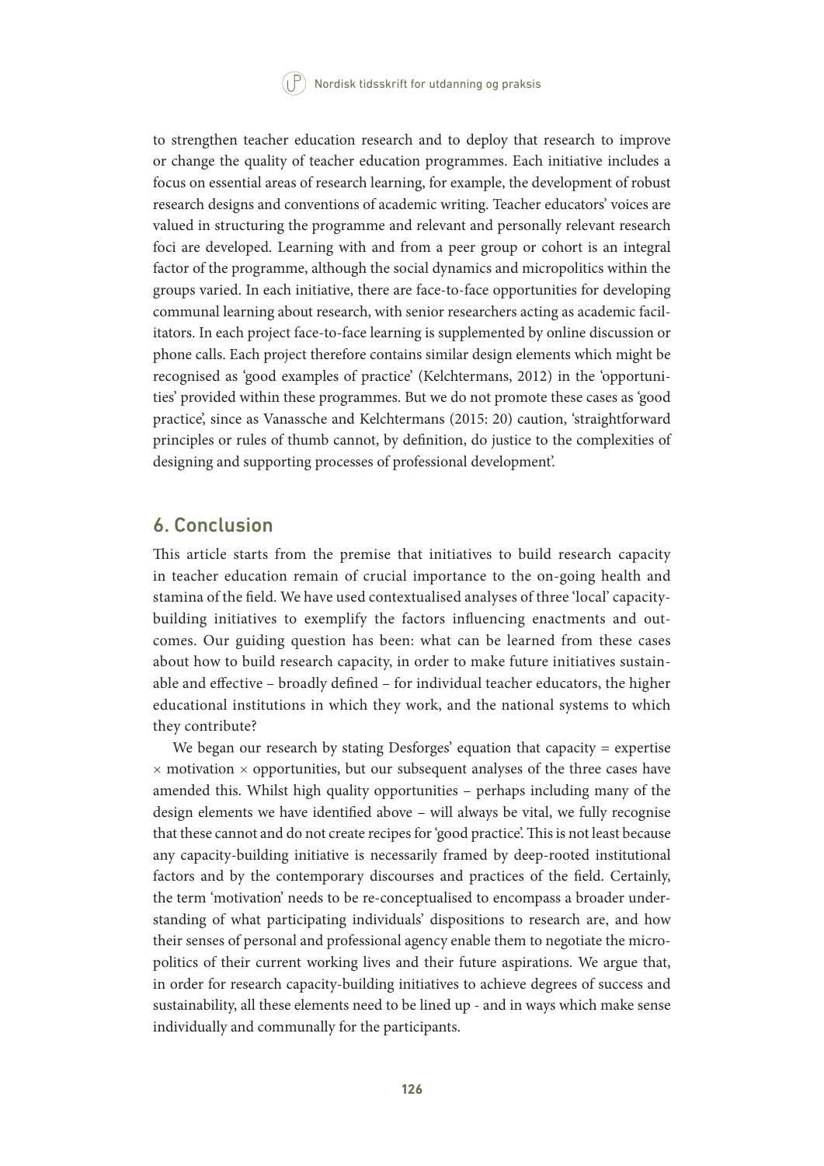to strengthen teacher education research and to deploy that research to improve or change the quality of teacher education programmes. Each initiative includes a focus on essential areas of research learning, for example, the development of robust research designs and conventions of academic writing. Teacher educators' voices are valued in structuring the programme and relevant and personally relevant research foci are developed. Learning with and from a peer group or cohort is an integral factor of the programme, although the social dynamics and micropolitics within the groups varied. In each initiative, there are face-to-face opportunities for developing communal learning about research, with senior researchers acting as academic facilitators. In each project face-to-face learning is supplemented by online discussion or phone calls. Each project therefore contains similar design elements which might be recognised as 'good examples of practice' (Kelchtermans, 2012) in the 'opportunities' provided within these programmes. But we do not promote these cases as 'good practice', since as Vanassche and Kelchtermans (2015: 20) caution, 'straightforward principles or rules of thumb cannot, by definition, do justice to the complexities of designing and supporting processes of professional development'.

## 6. Conclusion

This article starts from the premise that initiatives to build research capacity in teacher education remain of crucial importance to the on-going health and stamina of the field. We have used contextualised analyses of three 'local' capacitybuilding initiatives to exemplify the factors influencing enactments and outcomes. Our guiding question has been: what can be learned from these cases about how to build research capacity, in order to make future initiatives sustainable and effective – broadly defined – for individual teacher educators, the higher educational institutions in which they work, and the national systems to which they contribute?

We began our research by stating Desforges' equation that capacity = expertise  $\times$  motivation  $\times$  opportunities, but our subsequent analyses of the three cases have amended this. Whilst high quality opportunities – perhaps including many of the design elements we have identified above – will always be vital, we fully recognise that these cannot and do not create recipes for 'good practice'. This is not least because any capacity-building initiative is necessarily framed by deep-rooted institutional factors and by the contemporary discourses and practices of the field. Certainly, the term 'motivation' needs to be re-conceptualised to encompass a broader understanding of what participating individuals' dispositions to research are, and how their senses of personal and professional agency enable them to negotiate the micropolitics of their current working lives and their future aspirations. We argue that, in order for research capacity-building initiatives to achieve degrees of success and sustainability, all these elements need to be lined up - and in ways which make sense individually and communally for the participants.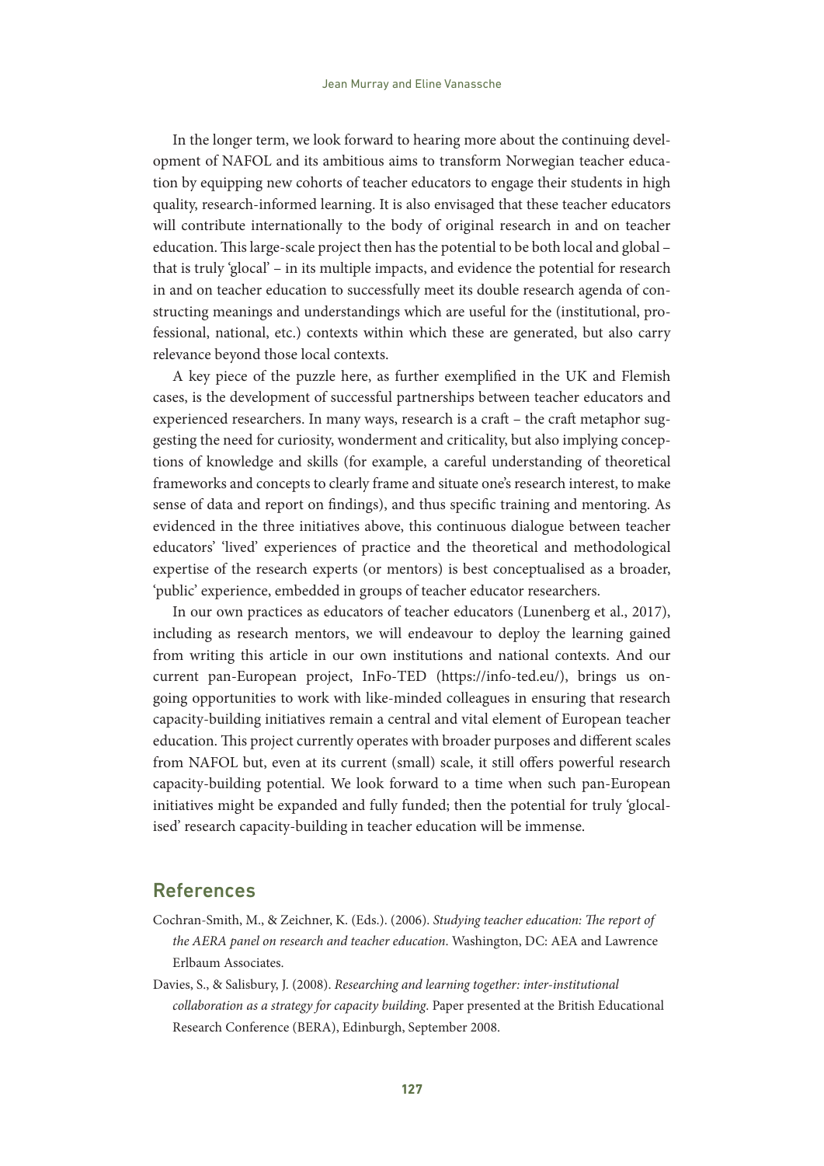In the longer term, we look forward to hearing more about the continuing development of NAFOL and its ambitious aims to transform Norwegian teacher education by equipping new cohorts of teacher educators to engage their students in high quality, research-informed learning. It is also envisaged that these teacher educators will contribute internationally to the body of original research in and on teacher education. This large-scale project then has the potential to be both local and global – that is truly 'glocal' – in its multiple impacts, and evidence the potential for research in and on teacher education to successfully meet its double research agenda of constructing meanings and understandings which are useful for the (institutional, professional, national, etc.) contexts within which these are generated, but also carry relevance beyond those local contexts.

A key piece of the puzzle here, as further exemplified in the UK and Flemish cases, is the development of successful partnerships between teacher educators and experienced researchers. In many ways, research is a craft – the craft metaphor suggesting the need for curiosity, wonderment and criticality, but also implying conceptions of knowledge and skills (for example, a careful understanding of theoretical frameworks and concepts to clearly frame and situate one's research interest, to make sense of data and report on findings), and thus specific training and mentoring. As evidenced in the three initiatives above, this continuous dialogue between teacher educators' 'lived' experiences of practice and the theoretical and methodological expertise of the research experts (or mentors) is best conceptualised as a broader, 'public' experience, embedded in groups of teacher educator researchers.

In our own practices as educators of teacher educators (Lunenberg et al., 2017), including as research mentors, we will endeavour to deploy the learning gained from writing this article in our own institutions and national contexts. And our current pan-European project, InFo-TED [\(https://info-ted.eu/](https://info-ted.eu/)), brings us ongoing opportunities to work with like-minded colleagues in ensuring that research capacity-building initiatives remain a central and vital element of European teacher education. This project currently operates with broader purposes and different scales from NAFOL but, even at its current (small) scale, it still offers powerful research capacity-building potential. We look forward to a time when such pan-European initiatives might be expanded and fully funded; then the potential for truly 'glocalised' research capacity-building in teacher education will be immense.

### References

- Cochran-Smith, M., & Zeichner, K. (Eds.). (2006). *Studying teacher education: The report of the AERA panel on research and teacher education*. Washington, DC: AEA and Lawrence Erlbaum Associates.
- Davies, S., & Salisbury, J. (2008). *Researching and learning together: inter-institutional collaboration as a strategy for capacity building*. Paper presented at the British Educational Research Conference (BERA), Edinburgh, September 2008.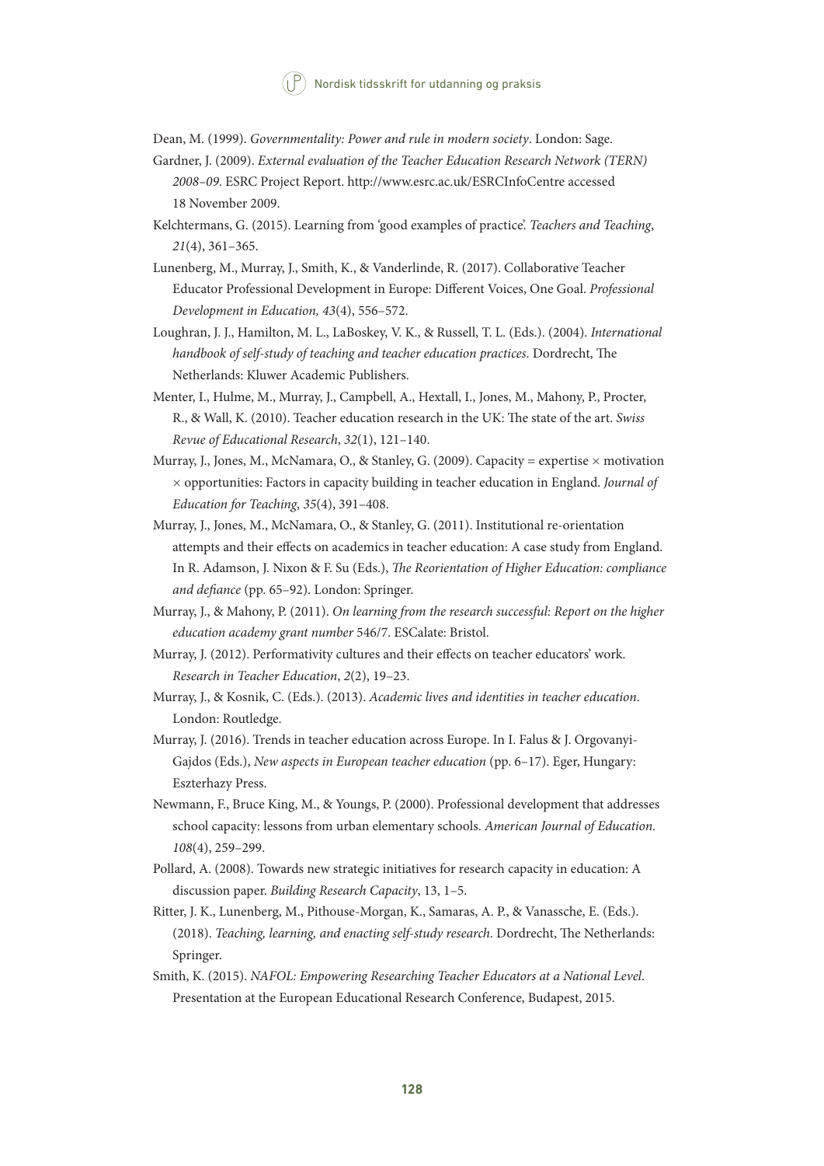Dean, M. (1999). *Governmentality: Power and rule in modern society*. London: Sage.

- Gardner, J. (2009). *External evaluation of the Teacher Education Research Network (TERN) 2008–09*. ESRC Project Report.<http://www.esrc.ac.uk/ESRCInfoCentre>accessed 18 November 2009.
- Kelchtermans, G. (2015). Learning from 'good examples of practice'. *Teachers and Teaching*, *21*(4), 361–365.
- Lunenberg, M., Murray, J., Smith, K., & Vanderlinde, R. (2017). Collaborative Teacher Educator Professional Development in Europe: Different Voices, One Goal. *Professional Development in Education, 43*(4), 556–572.
- Loughran, J. J., Hamilton, M. L., LaBoskey, V. K., & Russell, T. L. (Eds.). (2004). *International handbook of self-study of teaching and teacher education practices*. Dordrecht, The Netherlands: Kluwer Academic Publishers.
- Menter, I., Hulme, M., Murray, J., Campbell, A., Hextall, I., Jones, M., Mahony, P., Procter, R., & Wall, K. (2010). Teacher education research in the UK: The state of the art. *Swiss Revue of Educational Research*, *32*(1), 121–140.
- Murray, J., Jones, M., McNamara, O., & Stanley, G. (2009). Capacity = expertise  $\times$  motivation × opportunities: Factors in capacity building in teacher education in England. *Journal of Education for Teaching*, *35*(4), 391–408.
- Murray, J., Jones, M., McNamara, O., & Stanley, G. (2011). Institutional re-orientation attempts and their effects on academics in teacher education: A case study from England. In R. Adamson, J. Nixon & F. Su (Eds.), *The Reorientation of Higher Education: compliance and defiance* (pp. 65–92). London: Springer.
- Murray, J., & Mahony, P. (2011). *On learning from the research successful: Report on the higher education academy grant number* 546/7. ESCalate: Bristol.
- Murray, J. (2012). Performativity cultures and their effects on teacher educators' work. *Research in Teacher Education*, *2*(2), 19–23.
- Murray, J., & Kosnik, C. (Eds.). (2013). *Academic lives and identities in teacher education*. London: Routledge.
- Murray, J. (2016). Trends in teacher education across Europe. In I. Falus & J. Orgovanyi-Gajdos (Eds.), *New aspects in European teacher education* (pp. 6–17). Eger, Hungary: Eszterhazy Press.
- Newmann, F., Bruce King, M., & Youngs, P. (2000). Professional development that addresses school capacity: lessons from urban elementary schools. *American Journal of Education. 108*(4), 259–299.
- Pollard, A. (2008). Towards new strategic initiatives for research capacity in education: A discussion paper. *Building Research Capacity*, 13, 1–5.
- Ritter, J. K., Lunenberg, M., Pithouse-Morgan, K., Samaras, A. P., & Vanassche, E. (Eds.). (2018). *Teaching, learning, and enacting self-study research*. Dordrecht, The Netherlands: Springer.
- Smith, K. (2015). *NAFOL: Empowering Researching Teacher Educators at a National Level*. Presentation at the European Educational Research Conference, Budapest, 2015.